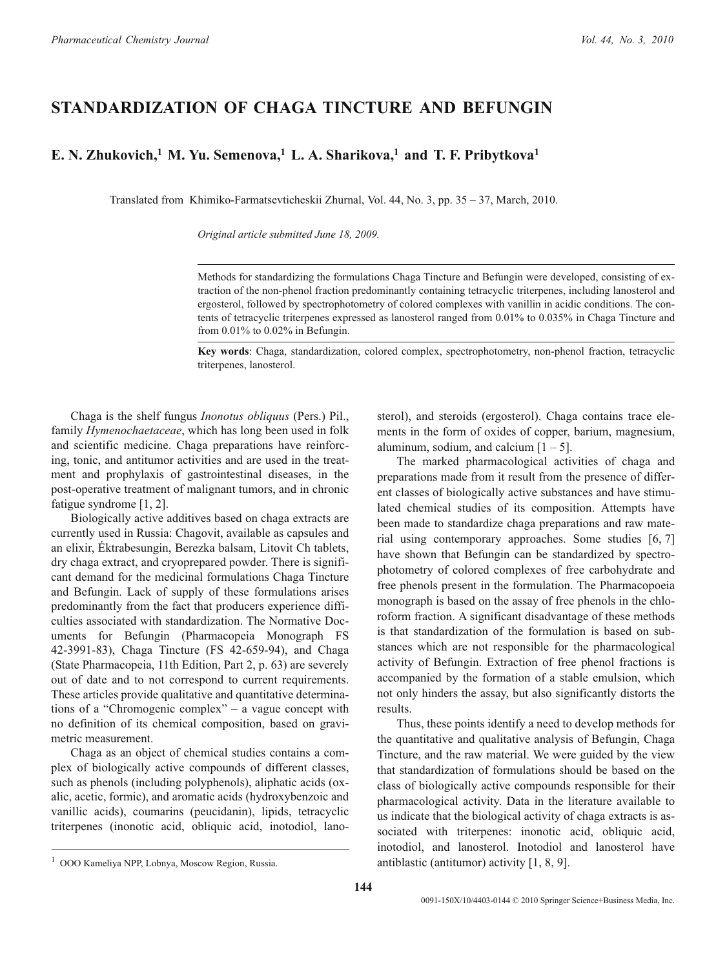# **STANDARDIZATION OF CHAGA TINCTURE AND BEFUNGIN**

## **E. N. Zhukovich,1 M. Yu. Semenova,1 L. A. Sharikova,1 and T. F. Pribytkova1**

Translated from Khimiko-Farmatsevticheskii Zhurnal, Vol. 44, No. 3, pp. 35 – 37, March, 2010.

*Original article submitted June 18, 2009.*

Methods for standardizing the formulations Chaga Tincture and Befungin were developed, consisting of extraction of the non-phenol fraction predominantly containing tetracyclic triterpenes, including lanosterol and ergosterol, followed by spectrophotometry of colored complexes with vanillin in acidic conditions. The contents of tetracyclic triterpenes expressed as lanosterol ranged from 0.01% to 0.035% in Chaga Tincture and from 0.01% to 0.02% in Befungin.

**Key words**: Chaga, standardization, colored complex, spectrophotometry, non-phenol fraction, tetracyclic triterpenes, lanosterol.

Chaga is the shelf fungus *Inonotus obliquus* (Pers.) Pil., family *Hymenochaetaceae*, which has long been used in folk and scientific medicine. Chaga preparations have reinforcing, tonic, and antitumor activities and are used in the treatment and prophylaxis of gastrointestinal diseases, in the post-operative treatment of malignant tumors, and in chronic fatigue syndrome [1, 2].

Biologically active additives based on chaga extracts are currently used in Russia: Chagovit, available as capsules and an elixir, Éktrabesungin, Berezka balsam, Litovit Ch tablets, dry chaga extract, and cryoprepared powder. There is significant demand for the medicinal formulations Chaga Tincture and Befungin. Lack of supply of these formulations arises predominantly from the fact that producers experience difficulties associated with standardization. The Normative Documents for Befungin (Pharmacopeia Monograph FS 42-3991-83), Chaga Tincture (FS 42-659-94), and Chaga (State Pharmacopeia, 11th Edition, Part 2, p. 63) are severely out of date and to not correspond to current requirements. These articles provide qualitative and quantitative determinations of a "Chromogenic complex" – a vague concept with no definition of its chemical composition, based on gravimetric measurement.

Chaga as an object of chemical studies contains a complex of biologically active compounds of different classes, such as phenols (including polyphenols), aliphatic acids (oxalic, acetic, formic), and aromatic acids (hydroxybenzoic and vanillic acids), coumarins (peucidanin), lipids, tetracyclic triterpenes (inonotic acid, obliquic acid, inotodiol, lanosterol), and steroids (ergosterol). Chaga contains trace elements in the form of oxides of copper, barium, magnesium, aluminum, sodium, and calcium  $[1 - 5]$ .

The marked pharmacological activities of chaga and preparations made from it result from the presence of different classes of biologically active substances and have stimulated chemical studies of its composition. Attempts have been made to standardize chaga preparations and raw material using contemporary approaches. Some studies [6, 7] have shown that Befungin can be standardized by spectrophotometry of colored complexes of free carbohydrate and free phenols present in the formulation. The Pharmacopoeia monograph is based on the assay of free phenols in the chloroform fraction. A significant disadvantage of these methods is that standardization of the formulation is based on substances which are not responsible for the pharmacological activity of Befungin. Extraction of free phenol fractions is accompanied by the formation of a stable emulsion, which not only hinders the assay, but also significantly distorts the results.

Thus, these points identify a need to develop methods for the quantitative and qualitative analysis of Befungin, Chaga Tincture, and the raw material. We were guided by the view that standardization of formulations should be based on the class of biologically active compounds responsible for their pharmacological activity. Data in the literature available to us indicate that the biological activity of chaga extracts is associated with triterpenes: inonotic acid, obliquic acid, inotodiol, and lanosterol. Inotodiol and lanosterol have antiblastic (antitumor) activity [1, 8, 9].

<sup>&</sup>lt;sup>1</sup> OOO Kameliya NPP, Lobnya, Moscow Region, Russia.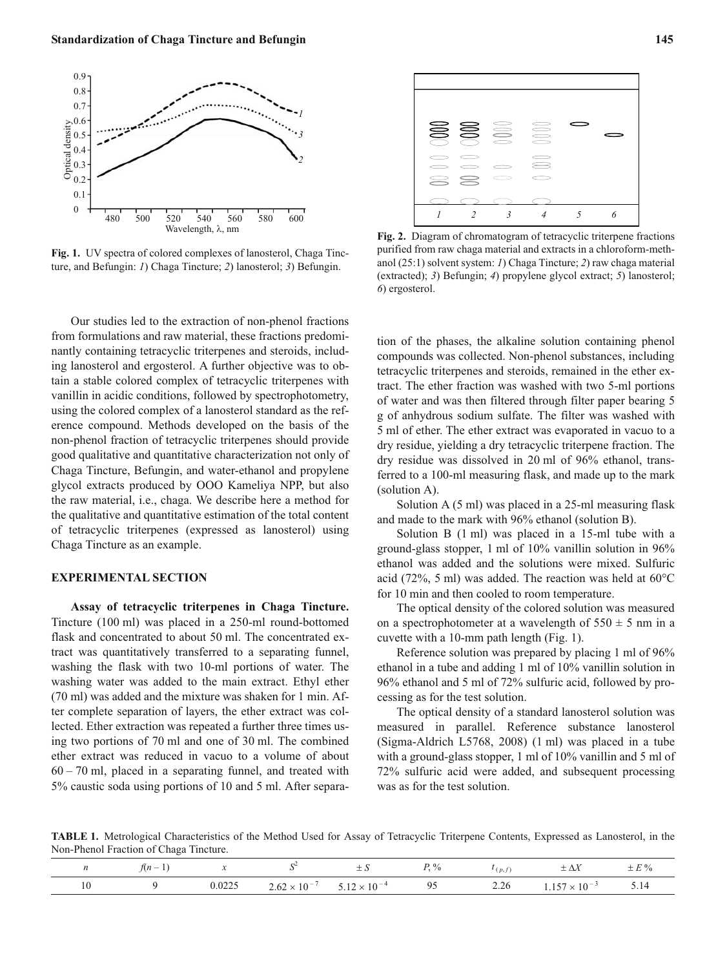

**Fig. 1.** UV spectra of colored complexes of lanosterol, Chaga Tincture, and Befungin: *1*) Chaga Tincture; *2*) lanosterol; *3*) Befungin.

Our studies led to the extraction of non-phenol fractions from formulations and raw material, these fractions predominantly containing tetracyclic triterpenes and steroids, including lanosterol and ergosterol. A further objective was to obtain a stable colored complex of tetracyclic triterpenes with vanillin in acidic conditions, followed by spectrophotometry, using the colored complex of a lanosterol standard as the reference compound. Methods developed on the basis of the non-phenol fraction of tetracyclic triterpenes should provide good qualitative and quantitative characterization not only of Chaga Tincture, Befungin, and water-ethanol and propylene glycol extracts produced by OOO Kameliya NPP, but also the raw material, i.e., chaga. We describe here a method for the qualitative and quantitative estimation of the total content of tetracyclic triterpenes (expressed as lanosterol) using Chaga Tincture as an example.

#### **EXPERIMENTAL SECTION**

**Assay of tetracyclic triterpenes in Chaga Tincture.** Tincture (100 ml) was placed in a 250-ml round-bottomed flask and concentrated to about 50 ml. The concentrated extract was quantitatively transferred to a separating funnel, washing the flask with two 10-ml portions of water. The washing water was added to the main extract. Ethyl ether (70 ml) was added and the mixture was shaken for 1 min. After complete separation of layers, the ether extract was collected. Ether extraction was repeated a further three times using two portions of 70 ml and one of 30 ml. The combined ether extract was reduced in vacuo to a volume of about  $60 - 70$  ml, placed in a separating funnel, and treated with 5% caustic soda using portions of 10 and 5 ml. After separa-



**Fig. 2.** Diagram of chromatogram of tetracyclic triterpene fractions purified from raw chaga material and extracts in a chloroform-methanol (25:1) solvent system: *1*) Chaga Tincture; *2*) raw chaga material (extracted); *3*) Befungin; *4*) propylene glycol extract; *5*) lanosterol; *6*) ergosterol.

tion of the phases, the alkaline solution containing phenol compounds was collected. Non-phenol substances, including tetracyclic triterpenes and steroids, remained in the ether extract. The ether fraction was washed with two 5-ml portions of water and was then filtered through filter paper bearing 5 g of anhydrous sodium sulfate. The filter was washed with 5 ml of ether. The ether extract was evaporated in vacuo to a dry residue, yielding a dry tetracyclic triterpene fraction. The dry residue was dissolved in 20 ml of 96% ethanol, transferred to a 100-ml measuring flask, and made up to the mark (solution A).

Solution A (5 ml) was placed in a 25-ml measuring flask and made to the mark with 96% ethanol (solution B).

Solution B (1 ml) was placed in a 15-ml tube with a ground-glass stopper, 1 ml of 10% vanillin solution in 96% ethanol was added and the solutions were mixed. Sulfuric acid (72%, 5 ml) was added. The reaction was held at 60°C for 10 min and then cooled to room temperature.

The optical density of the colored solution was measured on a spectrophotometer at a wavelength of  $550 \pm 5$  nm in a cuvette with a 10-mm path length (Fig. 1).

Reference solution was prepared by placing 1 ml of 96% ethanol in a tube and adding 1 ml of 10% vanillin solution in 96% ethanol and 5 ml of 72% sulfuric acid, followed by processing as for the test solution.

The optical density of a standard lanosterol solution was measured in parallel. Reference substance lanosterol (Sigma-Aldrich L5768, 2008) (1 ml) was placed in a tube with a ground-glass stopper, 1 ml of 10% vanillin and 5 ml of 72% sulfuric acid were added, and subsequent processing was as for the test solution.

**TABLE 1.** Metrological Characteristics of the Method Used for Assay of Tetracyclic Triterpene Contents, Expressed as Lanosterol, in the Non-Phenol Fraction of Chaga Tincture.

| n                     | $f(n-$ | $\sim$<br>$\sim$ |                       | — ~                   | $P, \%$  | (p, f) | $-\Delta\Lambda$<br>---       | $E\%$<br>$ -$ |
|-----------------------|--------|------------------|-----------------------|-----------------------|----------|--------|-------------------------------|---------------|
| ח ו<br>1 <sub>0</sub> |        | 0.0225           | $2.62 \times 10^{-7}$ | $5.12 \times 10^{-9}$ | 95<br>ノン | 2.26   | $\cdot$ 10 <sup>-</sup><br>57 | <b>D.14</b>   |